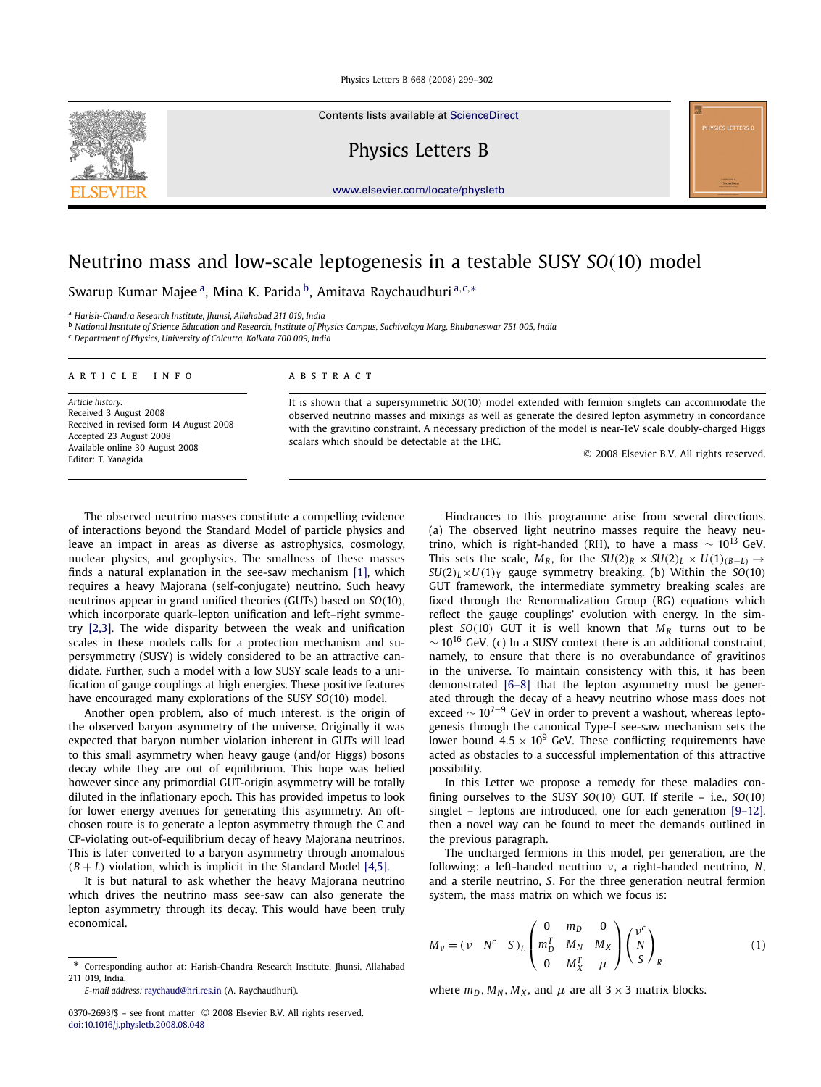Contents lists available at ScienceDirect

Physics Letters B

www.elsevier.com/locate/physletb

# Neutrino mass and low-scale leptogenesis in a testable SUSY *SO*(10) model

Swarup Kumar Majee <sup>a</sup>, Mina K. Parida <sup>b</sup>, Amitava Raychaudhuri <sup>a,c,</sup>\*

<sup>a</sup> *Harish-Chandra Research Institute, Jhunsi, Allahabad 211 019, India*

<sup>b</sup> *National Institute of Science Education and Research, Institute of Physics Campus, Sachivalaya Marg, Bhubaneswar 751 005, India*

<sup>c</sup> *Department of Physics, University of Calcutta, Kolkata 700 009, India*

### article info abstract

*Article history:* Received 3 August 2008 Received in revised form 14 August 2008 Accepted 23 August 2008 Available online 30 August 2008 Editor: T. Yanagida

It is shown that a supersymmetric *SO*(10) model extended with fermion singlets can accommodate the observed neutrino masses and mixings as well as generate the desired lepton asymmetry in concordance with the gravitino constraint. A necessary prediction of the model is near-TeV scale doubly-charged Higgs scalars which should be detectable at the LHC.

possibility.

the previous paragraph.

2008 Elsevier B.V. All rights reserved.

Hindrances to this programme arise from several directions. (a) The observed light neutrino masses require the heavy neutrino, which is right-handed (RH), to have a mass  $\sim 10^{13}$  GeV. This sets the scale,  $M_R$ , for the  $SU(2)_R \times SU(2)_L \times U(1)_{(B-L)} \rightarrow$  $SU(2)_L \times U(1)_Y$  gauge symmetry breaking. (b) Within the  $SO(10)$ GUT framework, the intermediate symmetry breaking scales are fixed through the Renormalization Group (RG) equations which reflect the gauge couplings' evolution with energy. In the simplest *SO*(10) GUT it is well known that *M<sup>R</sup>* turns out to be  $\sim$  10<sup>16</sup> GeV. (c) In a SUSY context there is an additional constraint, namely, to ensure that there is no overabundance of gravitinos in the universe. To maintain consistency with this, it has been demonstrated [6–8] that the lepton asymmetry must be generated through the decay of a heavy neutrino whose mass does not exceed  $\sim 10^{7-9}$  GeV in order to prevent a washout, whereas leptogenesis through the canonical Type-I see-saw mechanism sets the lower bound  $4.5 \times 10^9$  GeV. These conflicting requirements have acted as obstacles to a successful implementation of this attractive

The observed neutrino masses constitute a compelling evidence of interactions beyond the Standard Model of particle physics and leave an impact in areas as diverse as astrophysics, cosmology, nuclear physics, and geophysics. The smallness of these masses finds a natural explanation in the see-saw mechanism [1], which requires a heavy Majorana (self-conjugate) neutrino. Such heavy neutrinos appear in grand unified theories (GUTs) based on *SO*(10), which incorporate quark–lepton unification and left–right symmetry [2,3]. The wide disparity between the weak and unification scales in these models calls for a protection mechanism and supersymmetry (SUSY) is widely considered to be an attractive candidate. Further, such a model with a low SUSY scale leads to a unification of gauge couplings at high energies. These positive features have encouraged many explorations of the SUSY *SO*(10) model.

Another open problem, also of much interest, is the origin of the observed baryon asymmetry of the universe. Originally it was expected that baryon number violation inherent in GUTs will lead to this small asymmetry when heavy gauge (and/or Higgs) bosons decay while they are out of equilibrium. This hope was belied however since any primordial GUT-origin asymmetry will be totally diluted in the inflationary epoch. This has provided impetus to look for lower energy avenues for generating this asymmetry. An oftchosen route is to generate a lepton asymmetry through the C and CP-violating out-of-equilibrium decay of heavy Majorana neutrinos. This is later converted to a baryon asymmetry through anomalous  $(B + L)$  violation, which is implicit in the Standard Model [4,5].

It is but natural to ask whether the heavy Majorana neutrino which drives the neutrino mass see-saw can also generate the lepton asymmetry through its decay. This would have been truly economical.

In this Letter we propose a remedy for these maladies confining ourselves to the SUSY *SO*(10) GUT. If sterile – i.e., *SO*(10) singlet – leptons are introduced, one for each generation [9–12], then a novel way can be found to meet the demands outlined in

$$
M_{\nu} = (\nu \ N^{c} S)_{L} \begin{pmatrix} m_{D}^{T} & M_{N} & M_{X} \\ 0 & M_{X}^{T} & \mu \end{pmatrix} \begin{pmatrix} N \\ S \end{pmatrix}_{R}
$$

where  $m_D$ ,  $M_N$ ,  $M_X$ , and  $\mu$  are all 3  $\times$  3 matrix blocks.



<sup>\*</sup> Corresponding author at: Harish-Chandra Research Institute, Jhunsi, Allahabad 211 019, India.

*E-mail address:* raychaud@hri.res.in (A. Raychaudhuri).

The uncharged fermions in this model, per generation, are the following: a left-handed neutrino ν, a right-handed neutrino, *N*, and a sterile neutrino, *S*. For the three generation neutral fermion system, the mass matrix on which we focus is:  $\sqrt{2}$ 0 *m<sup>D</sup>* 0 ⎞  $\mu^c$  $\setminus$ (1)

<sup>0370-2693/\$ -</sup> see front matter © 2008 Elsevier B.V. All rights reserved. doi:10.1016/j.physletb.2008.08.048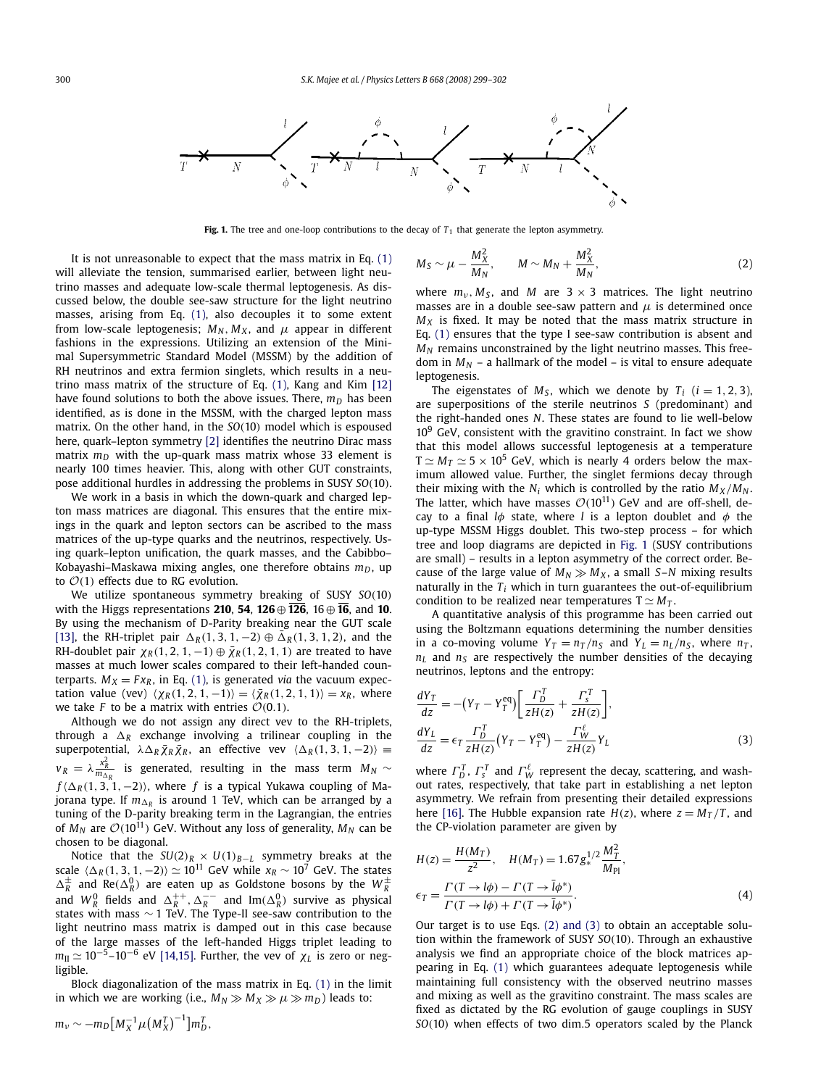

**Fig. 1.** The tree and one-loop contributions to the decay of  $T_1$  that generate the lepton asymmetry.

*M*<sup>2</sup>

It is not unreasonable to expect that the mass matrix in Eq. (1) will alleviate the tension, summarised earlier, between light neutrino masses and adequate low-scale thermal leptogenesis. As discussed below, the double see-saw structure for the light neutrino masses, arising from Eq. (1), also decouples it to some extent from low-scale leptogenesis;  $M_N$ ,  $M_X$ , and  $\mu$  appear in different fashions in the expressions. Utilizing an extension of the Minimal Supersymmetric Standard Model (MSSM) by the addition of RH neutrinos and extra fermion singlets, which results in a neutrino mass matrix of the structure of Eq. (1), Kang and Kim [12] have found solutions to both the above issues. There,  $m_D$  has been identified, as is done in the MSSM, with the charged lepton mass matrix. On the other hand, in the *SO*(10) model which is espoused here, quark–lepton symmetry [2] identifies the neutrino Dirac mass matrix  $m<sub>D</sub>$  with the up-quark mass matrix whose 33 element is nearly 100 times heavier. This, along with other GUT constraints, pose additional hurdles in addressing the problems in SUSY *SO*(10).

We work in a basis in which the down-quark and charged lepton mass matrices are diagonal. This ensures that the entire mixings in the quark and lepton sectors can be ascribed to the mass matrices of the up-type quarks and the neutrinos, respectively. Using quark–lepton unification, the quark masses, and the Cabibbo– Kobayashi–Maskawa mixing angles, one therefore obtains *mD*, up to  $\mathcal{O}(1)$  effects due to RG evolution.

We utilize spontaneous symmetry breaking of SUSY *SO*(10) with the Higgs representations **210**, **54**, **126** ⊕ **126**, 16 ⊕ **16**, and **10**. By using the mechanism of D-Parity breaking near the GUT scale [13], the RH-triplet pair  $\Delta_R(1, 3, 1, -2) \oplus \overline{\Delta}_R(1, 3, 1, 2)$ , and the RH-doublet pair  $\chi_R$  (1, 2, 1, -1)  $\oplus \bar{\chi}_R$  (1, 2, 1, 1) are treated to have masses at much lower scales compared to their left-handed counterparts.  $M_X = F x_R$ , in Eq. (1), is generated *via* the vacuum expectation value (vev)  $\langle \chi_R(1,2,1,-1) \rangle = \langle \bar{\chi}_R(1,2,1,1) \rangle = x_R$ , where we take *F* to be a matrix with entries  $\mathcal{O}(0.1)$ .

Although we do not assign any direct vev to the RH-triplets, through a  $\Delta_R$  exchange involving a trilinear coupling in the superpotential,  $\lambda \Delta_R \bar{\chi}_R \bar{\chi}_R$ , an effective vev  $\langle \Delta_R(1, 3, 1, -2) \rangle \equiv$  $v_R = \lambda \frac{x_R^2}{m_{\Delta_R}}$  is generated, resulting in the mass term  $M_N \sim$  $f(\Delta_R(1, 3, 1, -2))$ , where *f* is a typical Yukawa coupling of Majorana type. If  $m_{\Delta_R}$  is around 1 TeV, which can be arranged by a tuning of the D-parity breaking term in the Lagrangian, the entries of  $M_N$  are  $\mathcal{O}(10^{11})$  GeV. Without any loss of generality,  $M_N$  can be chosen to be diagonal.

Notice that the *SU*(2)*<sup>R</sup>* × *U*(1)*B*−*<sup>L</sup>* symmetry breaks at the scale  $\langle \Delta_R (1,3,1,-2) \rangle \simeq 10^{11}$  GeV while  $x_R \sim 10^7$  GeV. The states  $\Delta_R^{\pm}$  and  $\text{Re}(\Delta_R^0)$  are eaten up as Goldstone bosons by the  $W_R^{\pm}$  and  $W_R^0$  fields and  $\Delta_R^{++}, \Delta_R^{--}$  and  $\text{Im}(\Delta_R^0)$  survive as physical states with mass ∼ 1 TeV. The Type-II see-saw contribution to the light neutrino mass matrix is damped out in this case because of the large masses of the left-handed Higgs triplet leading to *m*II ≃ 10−5–10−<sup>6</sup> eV [14,15]. Further, the vev of χ*<sup>L</sup>* is zero or negligible.

Block diagonalization of the mass matrix in Eq. (1) in the limit in which we are working (i.e.,  $M_N \gg M_X \gg \mu \gg m_D$ ) leads to:

$$
M_S \sim \mu - \frac{m_X}{M_N}, \qquad M \sim M_N + \frac{m_X}{M_N}, \tag{2}
$$

where  $m_v$ ,  $M_s$ , and  $M$  are  $3 \times 3$  matrices. The light neutrino masses are in a double see-saw pattern and  $\mu$  is determined once  $M_X$  is fixed. It may be noted that the mass matrix structure in Eq. (1) ensures that the type I see-saw contribution is absent and  $M_N$  remains unconstrained by the light neutrino masses. This freedom in  $M_N$  – a hallmark of the model – is vital to ensure adequate leptogenesis.

*M*<sup>2</sup>

The eigenstates of  $M_s$ , which we denote by  $T_i$  ( $i = 1, 2, 3$ ), are superpositions of the sterile neutrinos *S* (predominant) and the right-handed ones *N*. These states are found to lie well-below  $10<sup>9</sup>$  GeV, consistent with the gravitino constraint. In fact we show that this model allows successful leptogenesis at a temperature  $T \simeq M_T \simeq 5 \times 10^5$  GeV, which is nearly 4 orders below the maximum allowed value. Further, the singlet fermions decay through their mixing with the  $N_i$  which is controlled by the ratio  $M_X/M_N$ . The latter, which have masses  $\mathcal{O}(10^{11})$  GeV and are off-shell, decay to a final  $l\phi$  state, where *l* is a lepton doublet and  $\phi$  the up-type MSSM Higgs doublet. This two-step process – for which tree and loop diagrams are depicted in Fig. 1 (SUSY contributions are small) – results in a lepton asymmetry of the correct order. Because of the large value of  $M_N \gg M_X$ , a small *S*–*N* mixing results naturally in the  $T_i$  which in turn guarantees the out-of-equilibrium condition to be realized near temperatures  $T \simeq M_T$ .

A quantitative analysis of this programme has been carried out using the Boltzmann equations determining the number densities in a co-moving volume  $Y_T = n_T/n_S$  and  $Y_L = n_L/n_S$ , where  $n_T$ ,  $n<sub>L</sub>$  and  $n<sub>S</sub>$  are respectively the number densities of the decaying neutrinos, leptons and the entropy:

$$
\frac{dY_T}{dz} = -(Y_T - Y_T^{eq}) \left[ \frac{\Gamma_D^T}{zH(z)} + \frac{\Gamma_S^T}{zH(z)} \right],
$$
  
\n
$$
\frac{dY_L}{dz} = \epsilon_T \frac{\Gamma_D^T}{zH(z)} (Y_T - Y_T^{eq}) - \frac{\Gamma_W^{\ell}}{zH(z)} Y_L
$$
\n(3)

where  $\Gamma_D^T$ ,  $\Gamma_s^T$  and  $\Gamma_W^{\ell}$  represent the decay, scattering, and washout rates, respectively, that take part in establishing a net lepton asymmetry. We refrain from presenting their detailed expressions here [16]. The Hubble expansion rate  $H(z)$ , where  $z = M<sub>T</sub>/T$ , and the CP-violation parameter are given by

$$
H(z) = \frac{H(M_T)}{z^2}, \quad H(M_T) = 1.67 g_*^{1/2} \frac{M_T^2}{M_{\text{Pl}}},
$$
  

$$
\epsilon_T = \frac{\Gamma(T \to l\phi) - \Gamma(T \to \bar{l}\phi^*)}{\Gamma(T \to l\phi) + \Gamma(T \to \bar{l}\phi^*)}.
$$
 (4)

Our target is to use Eqs. (2) and (3) to obtain an acceptable solution within the framework of SUSY *SO*(10). Through an exhaustive analysis we find an appropriate choice of the block matrices appearing in Eq. (1) which guarantees adequate leptogenesis while maintaining full consistency with the observed neutrino masses and mixing as well as the gravitino constraint. The mass scales are fixed as dictated by the RG evolution of gauge couplings in SUSY *SO*(10) when effects of two dim.5 operators scaled by the Planck

$$
m_{\nu} \sim -m_D \big[M_X^{-1} \mu \big(M_X^T\big)^{-1}\big] m_D^T,
$$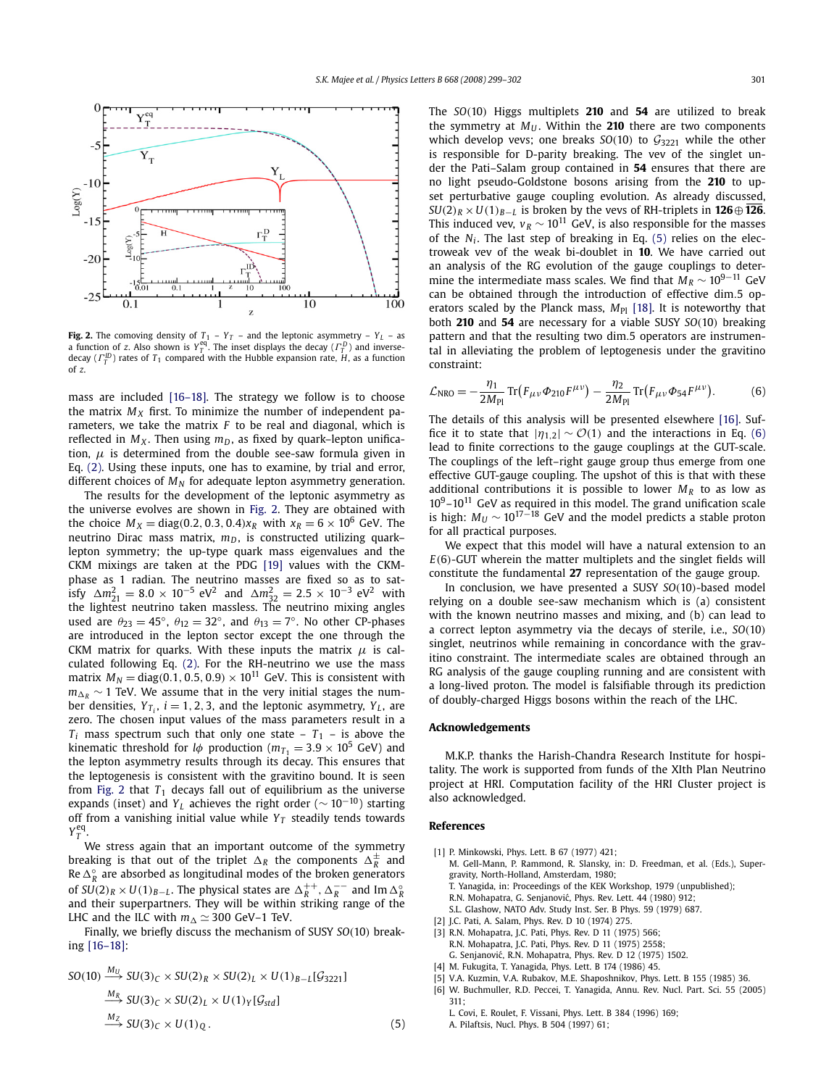

**Fig. 2.** The comoving density of  $T_1$  –  $Y_T$  – and the leptonic asymmetry –  $Y_L$  – as a function of z. Also shown is  $Y_T^{eq}$ . The inset displays the decay ( $\Gamma_T^D$ ) and inversedecay (Γ *ID T* ) rates of *T*<sup>1</sup> compared with the Hubble expansion rate, *H*, as a function of *z*.

mass are included [16–18]. The strategy we follow is to choose the matrix  $M_X$  first. To minimize the number of independent parameters, we take the matrix *F* to be real and diagonal, which is reflected in  $M_X$ . Then using  $m_D$ , as fixed by quark–lepton unification,  $\mu$  is determined from the double see-saw formula given in Eq. (2). Using these inputs, one has to examine, by trial and error, different choices of  $M_N$  for adequate lepton asymmetry generation.

The results for the development of the leptonic asymmetry as the universe evolves are shown in Fig. 2. They are obtained with the choice  $M_X = \text{diag}(0.2, 0.3, 0.4)x_R$  with  $x_R = 6 \times 10^6$  GeV. The neutrino Dirac mass matrix,  $m_D$ , is constructed utilizing quark– lepton symmetry; the up-type quark mass eigenvalues and the CKM mixings are taken at the PDG [19] values with the CKMphase as 1 radian. The neutrino masses are fixed so as to satisfy  $\Delta m_{21}^2 = 8.0 \times 10^{-5} \text{ eV}^2$  and  $\Delta m_{32}^2 = 2.5 \times 10^{-3} \text{ eV}^2$  with the lightest neutrino taken massless. The neutrino mixing angles used are  $\theta_{23} = 45^\circ$ ,  $\theta_{12} = 32^\circ$ , and  $\theta_{13} = 7^\circ$ . No other CP-phases are introduced in the lepton sector except the one through the CKM matrix for quarks. With these inputs the matrix  $\mu$  is calculated following Eq. (2). For the RH-neutrino we use the mass matrix  $M_N = \text{diag}(0.1, 0.5, 0.9) \times 10^{11}$  GeV. This is consistent with  $m_{\Delta R}$  ~ 1 TeV. We assume that in the very initial stages the number densities,  $Y_{T_i}$ ,  $i = 1, 2, 3$ , and the leptonic asymmetry,  $Y_L$ , are zero. The chosen input values of the mass parameters result in a  $T_i$  mass spectrum such that only one state –  $T_1$  – is above the kinematic threshold for *l* $\phi$  production ( $m_{T_1} = 3.9 \times 10^5$  GeV) and the lepton asymmetry results through its decay. This ensures that the leptogenesis is consistent with the gravitino bound. It is seen from Fig. 2 that  $T_1$  decays fall out of equilibrium as the universe expands (inset) and *Y*<sub>*L*</sub> achieves the right order ( $\sim 10^{-10}$ ) starting off from a vanishing initial value while  $Y_T$  steadily tends towards  $Y_T^{\text{eq}}$ .

We stress again that an important outcome of the symmetry breaking is that out of the triplet  $\Delta_R$  the components  $\Delta_R^{\pm}$  and Re  $\Delta_R^{\circ}$  are absorbed as longitudinal modes of the broken generators of  $SU(2)_R \times U(1)_{B-L}$ . The physical states are  $\Delta_R^{++}, \Delta_R^{--}$  and Im  $\Delta_R^{\circ}$ and their superpartners. They will be within striking range of the LHC and the ILC with  $m_{\Delta} \simeq 300$  GeV–1 TeV.

Finally, we briefly discuss the mechanism of SUSY *SO*(10) breaking [16–18]:

$$
SO(10) \xrightarrow{M_U} SU(3)_C \times SU(2)_R \times SU(2)_L \times U(1)_{B-L}[\mathcal{G}_{3221}]
$$
  
\n
$$
\xrightarrow{M_R} SU(3)_C \times SU(2)_L \times U(1)_Y[\mathcal{G}_{std}]
$$
  
\n
$$
\xrightarrow{M_Z} SU(3)_C \times U(1)_Q.
$$
 (5)

The *SO*(10) Higgs multiplets **210** and **54** are utilized to break the symmetry at  $M_U$ . Within the 210 there are two components which develop vevs; one breaks  $SO(10)$  to  $G_{3221}$  while the other is responsible for D-parity breaking. The vev of the singlet under the Pati–Salam group contained in **54** ensures that there are no light pseudo-Goldstone bosons arising from the **210** to upset perturbative gauge coupling evolution. As already discussed,  $SU(2)_R \times U(1)_{R-I}$  is broken by the vevs of RH-triplets in **126** $\oplus$  **126**. This induced vev,  $v_R \sim 10^{11}$  GeV, is also responsible for the masses of the *N<sup>i</sup>* . The last step of breaking in Eq. (5) relies on the electroweak vev of the weak bi-doublet in **10**. We have carried out an analysis of the RG evolution of the gauge couplings to determine the intermediate mass scales. We find that  $M_R \sim 10^{9-11}$  GeV can be obtained through the introduction of effective dim.5 operators scaled by the Planck mass,  $M_{\text{Pl}}$  [18]. It is noteworthy that both **210** and **54** are necessary for a viable SUSY *SO*(10) breaking pattern and that the resulting two dim.5 operators are instrumental in alleviating the problem of leptogenesis under the gravitino constraint:

$$
\mathcal{L}_{\rm NRO} = -\frac{\eta_1}{2M_{\rm Pl}} \operatorname{Tr} \left( F_{\mu\nu} \Phi_{210} F^{\mu\nu} \right) - \frac{\eta_2}{2M_{\rm Pl}} \operatorname{Tr} \left( F_{\mu\nu} \Phi_{54} F^{\mu\nu} \right). \tag{6}
$$

The details of this analysis will be presented elsewhere [16]. Suffice it to state that  $|\eta_{1,2}| \sim \mathcal{O}(1)$  and the interactions in Eq. (6) lead to finite corrections to the gauge couplings at the GUT-scale. The couplings of the left–right gauge group thus emerge from one effective GUT-gauge coupling. The upshot of this is that with these additional contributions it is possible to lower  $M_R$  to as low as  $10^9$ – $10^{11}$  GeV as required in this model. The grand unification scale is high:  $M_U \sim 10^{17-18}$  GeV and the model predicts a stable proton for all practical purposes.

We expect that this model will have a natural extension to an *E*(6)-GUT wherein the matter multiplets and the singlet fields will constitute the fundamental **27** representation of the gauge group.

In conclusion, we have presented a SUSY *SO*(10)-based model relying on a double see-saw mechanism which is (a) consistent with the known neutrino masses and mixing, and (b) can lead to a correct lepton asymmetry via the decays of sterile, i.e., *SO*(10) singlet, neutrinos while remaining in concordance with the gravitino constraint. The intermediate scales are obtained through an RG analysis of the gauge coupling running and are consistent with a long-lived proton. The model is falsifiable through its prediction of doubly-charged Higgs bosons within the reach of the LHC.

# **Acknowledgements**

M.K.P. thanks the Harish-Chandra Research Institute for hospitality. The work is supported from funds of the XIth Plan Neutrino project at HRI. Computation facility of the HRI Cluster project is also acknowledged.

## **References**

- [1] P. Minkowski, Phys. Lett. B 67 (1977) 421;
	- M. Gell-Mann, P. Rammond, R. Slansky, in: D. Freedman, et al. (Eds.), Supergravity, North-Holland, Amsterdam, 1980;
	- T. Yanagida, in: Proceedings of the KEK Workshop, 1979 (unpublished); R.N. Mohapatra, G. Senjanović, Phys. Rev. Lett. 44 (1980) 912;
	- S.L. Glashow, NATO Adv. Study Inst. Ser. B Phys. 59 (1979) 687.
- [2] J.C. Pati, A. Salam, Phys. Rev. D 10 (1974) 275.
- [3] R.N. Mohapatra, J.C. Pati, Phys. Rev. D 11 (1975) 566;
- R.N. Mohapatra, J.C. Pati, Phys. Rev. D 11 (1975) 2558; G. Senjanovic, R.N. Mohapatra, Phys. Rev. D 12 (1975) 1502. ´
- [4] M. Fukugita, T. Yanagida, Phys. Lett. B 174 (1986) 45.
- [5] V.A. Kuzmin, V.A. Rubakov, M.E. Shaposhnikov, Phys. Lett. B 155 (1985) 36. [6] W. Buchmuller, R.D. Peccei, T. Yanagida, Annu. Rev. Nucl. Part. Sci. 55 (2005) 311;
	- L. Covi, E. Roulet, F. Vissani, Phys. Lett. B 384 (1996) 169; A. Pilaftsis, Nucl. Phys. B 504 (1997) 61;